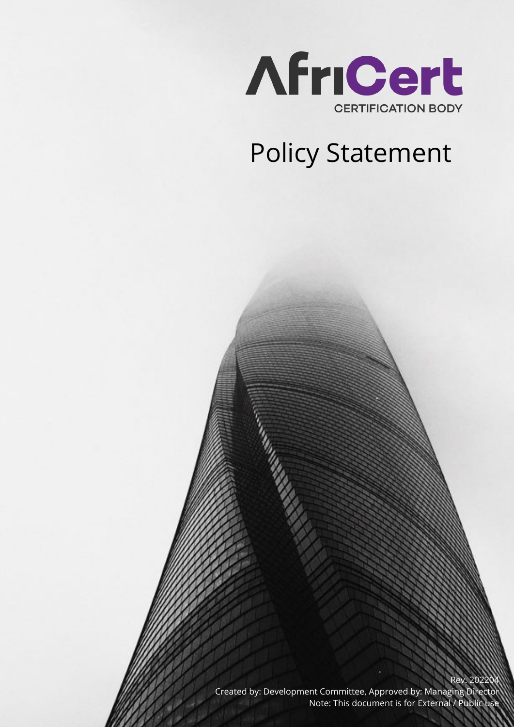

## Policy Statement

Created by: Development Committee, Approved by: Managing Director Note: This document is for External / Public use

Rev. 20